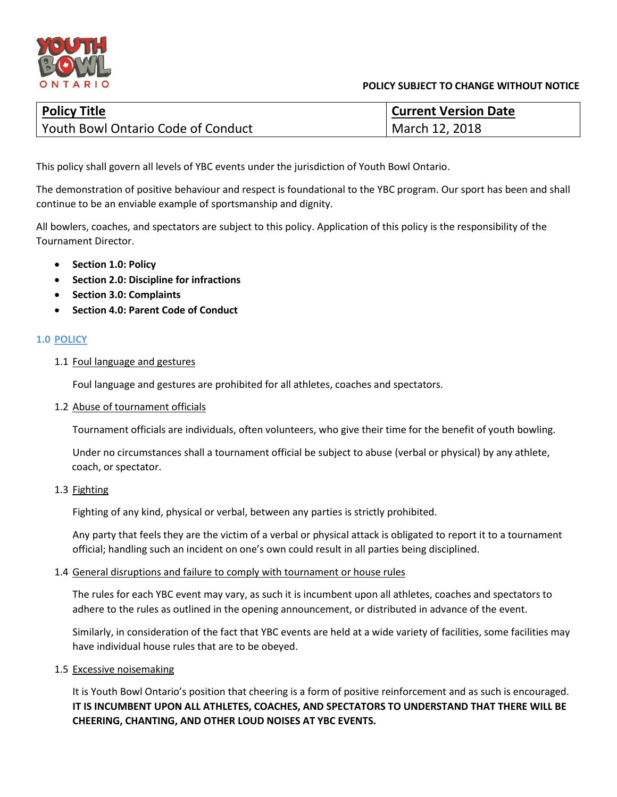

#### **POLICY SUBJECT TO CHANGE WITHOUT NOTICE**

| <b>Policy Title</b>                       | <b>Current Version Date</b> |
|-------------------------------------------|-----------------------------|
| <b>Youth Bowl Ontario Code of Conduct</b> | March 12, 2018              |

This policy shall govern all levels of YBC events under the jurisdiction of Youth Bowl Ontario.

The demonstration of positive behaviour and respect is foundational to the YBC program. Our sport has been and shall continue to be an enviable example of sportsmanship and dignity.

All bowlers, coaches, and spectators are subject to this policy. Application of this policy is the responsibility of the Tournament Director.

- **Section 1.0: Policy**
- **Section 2.0: Discipline for infractions**
- **Section 3.0: Complaints**
- **Section 4.0: Parent Code of Conduct**

#### **1.0 POLICY**

1.1 Foul language and gestures

Foul language and gestures are prohibited for all athletes, coaches and spectators.

1.2 Abuse of tournament officials

Tournament officials are individuals, often volunteers, who give their time for the benefit of youth bowling.

Under no circumstances shall a tournament official be subject to abuse (verbal or physical) by any athlete, coach, or spectator.

1.3 Fighting

Fighting of any kind, physical or verbal, between any parties is strictly prohibited.

Any party that feels they are the victim of a verbal or physical attack is obligated to report it to a tournament official; handling such an incident on one's own could result in all parties being disciplined.

#### 1.4 General disruptions and failure to comply with tournament or house rules

The rules for each YBC event may vary, as such it is incumbent upon all athletes, coaches and spectators to adhere to the rules as outlined in the opening announcement, or distributed in advance of the event.

Similarly, in consideration of the fact that YBC events are held at a wide variety of facilities, some facilities may have individual house rules that are to be obeyed.

1.5 Excessive noisemaking

It is Youth Bowl Ontario's position that cheering is a form of positive reinforcement and as such is encouraged. **IT IS INCUMBENT UPON ALL ATHLETES, COACHES, AND SPECTATORS TO UNDERSTAND THAT THERE WILL BE CHEERING, CHANTING, AND OTHER LOUD NOISES AT YBC EVENTS.**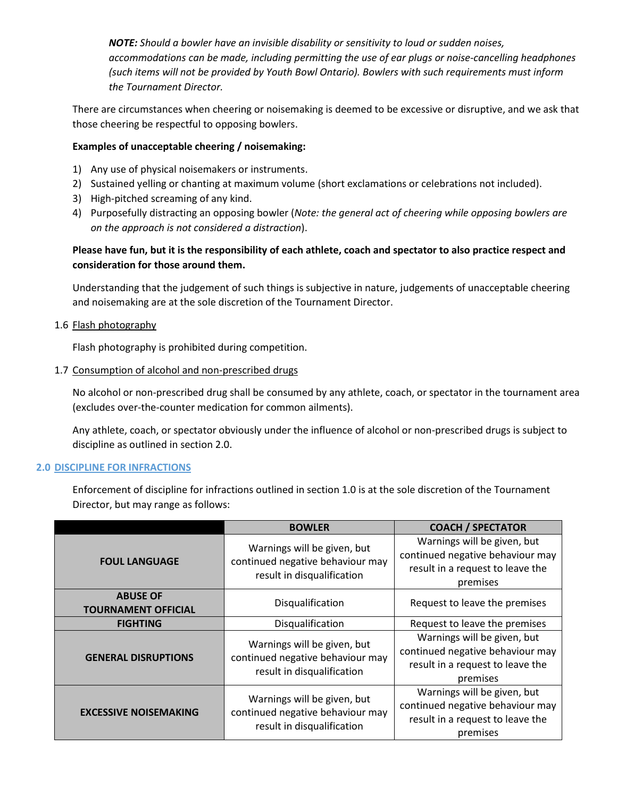*NOTE: Should a bowler have an invisible disability or sensitivity to loud or sudden noises, accommodations can be made, including permitting the use of ear plugs or noise-cancelling headphones (such items will not be provided by Youth Bowl Ontario). Bowlers with such requirements must inform the Tournament Director.*

There are circumstances when cheering or noisemaking is deemed to be excessive or disruptive, and we ask that those cheering be respectful to opposing bowlers.

#### **Examples of unacceptable cheering / noisemaking:**

- 1) Any use of physical noisemakers or instruments.
- 2) Sustained yelling or chanting at maximum volume (short exclamations or celebrations not included).
- 3) High-pitched screaming of any kind.
- 4) Purposefully distracting an opposing bowler (*Note: the general act of cheering while opposing bowlers are on the approach is not considered a distraction*).

## **Please have fun, but it is the responsibility of each athlete, coach and spectator to also practice respect and consideration for those around them.**

Understanding that the judgement of such things is subjective in nature, judgements of unacceptable cheering and noisemaking are at the sole discretion of the Tournament Director.

### 1.6 Flash photography

Flash photography is prohibited during competition.

1.7 Consumption of alcohol and non-prescribed drugs

No alcohol or non-prescribed drug shall be consumed by any athlete, coach, or spectator in the tournament area (excludes over-the-counter medication for common ailments).

Any athlete, coach, or spectator obviously under the influence of alcohol or non-prescribed drugs is subject to discipline as outlined in section 2.0.

#### **2.0 DISCIPLINE FOR INFRACTIONS**

Enforcement of discipline for infractions outlined in section 1.0 is at the sole discretion of the Tournament Director, but may range as follows:

|                                               | <b>BOWLER</b>                                                                                 | <b>COACH / SPECTATOR</b>                                                                                        |
|-----------------------------------------------|-----------------------------------------------------------------------------------------------|-----------------------------------------------------------------------------------------------------------------|
| <b>FOUL LANGUAGE</b>                          | Warnings will be given, but<br>continued negative behaviour may<br>result in disqualification | Warnings will be given, but<br>continued negative behaviour may<br>result in a request to leave the<br>premises |
| <b>ABUSE OF</b><br><b>TOURNAMENT OFFICIAL</b> | Disqualification                                                                              | Request to leave the premises                                                                                   |
| <b>FIGHTING</b>                               | Disqualification                                                                              | Request to leave the premises                                                                                   |
| <b>GENERAL DISRUPTIONS</b>                    | Warnings will be given, but<br>continued negative behaviour may<br>result in disqualification | Warnings will be given, but<br>continued negative behaviour may<br>result in a request to leave the<br>premises |
| <b>EXCESSIVE NOISEMAKING</b>                  | Warnings will be given, but<br>continued negative behaviour may<br>result in disqualification | Warnings will be given, but<br>continued negative behaviour may<br>result in a request to leave the<br>premises |